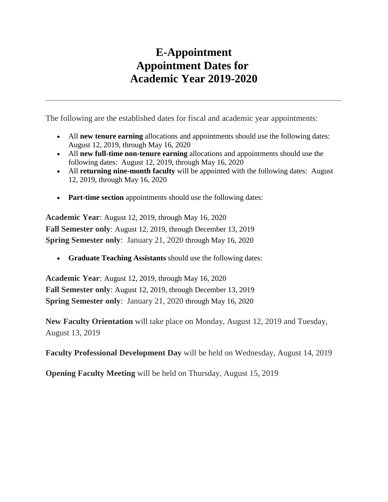## **E-Appointment Appointment Dates for Academic Year 2019-2020**

The following are the established dates for fiscal and academic year appointments:

- All **new tenure earning** allocations and appointments should use the following dates: August 12, 2019, through May 16, 2020
- All **new full-time non-tenure earning** allocations and appointments should use the following dates: August 12, 2019, through May 16, 2020
- All **returning nine-month faculty** will be appointed with the following dates: August 12, 2019, through May 16, 2020
- **Part-time section** appointments should use the following dates:

**Academic Year**: August 12, 2019, through May 16, 2020 **Fall Semester only**: August 12, 2019, through December 13, 2019 **Spring Semester only**: January 21, 2020 through May 16, 2020

• **Graduate Teaching Assistants** should use the following dates:

**Academic Year**: August 12, 2019, through May 16, 2020 **Fall Semester only**: August 12, 2019, through December 13, 2019 **Spring Semester only**: January 21, 2020 through May 16, 2020

**New Faculty Orientation** will take place on Monday, August 12, 2019 and Tuesday, August 13, 2019

**Faculty Professional Development Day** will be held on Wednesday, August 14, 2019

**Opening Faculty Meeting** will be held on Thursday, August 15, 2019